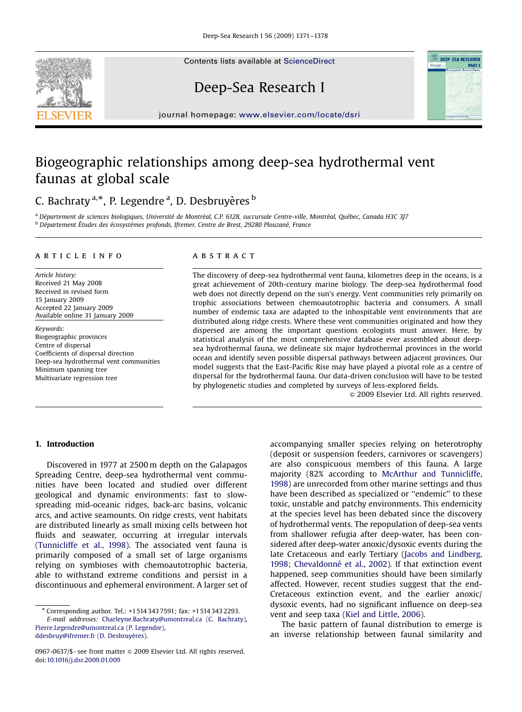Contents lists available at [ScienceDirect](www.sciencedirect.com/science/journal/dsri)



# Deep-Sea Research I



journal homepage: <www.elsevier.com/locate/dsri>

## Biogeographic relationships among deep-sea hydrothermal vent faunas at global scale

## C. Bachraty <sup>a,\*</sup>, P. Legendre <sup>a</sup>, D. Desbruyères <sup>b</sup>

<sup>a</sup> Département de sciences biologiques, Université de Montréal, C.P. 6128, succursale Centre-ville, Montréal, Québec, Canada H3C 3J7 <sup>b</sup> Département Études des écosystèmes profonds, Ifremer, Centre de Brest, 29280 Plouzané, France

#### article info

Article history: Received 21 May 2008 Received in revised form 15 January 2009 Accepted 22 January 2009 Available online 31 January 2009

Keywords: Biogeographic provinces Centre of dispersal Coefficients of dispersal direction Deep-sea hydrothermal vent communities Minimum spanning tree Multivariate regression tree

### **ABSTRACT**

The discovery of deep-sea hydrothermal vent fauna, kilometres deep in the oceans, is a great achievement of 20th-century marine biology. The deep-sea hydrothermal food web does not directly depend on the sun's energy. Vent communities rely primarily on trophic associations between chemoautotrophic bacteria and consumers. A small number of endemic taxa are adapted to the inhospitable vent environments that are distributed along ridge crests. Where these vent communities originated and how they dispersed are among the important questions ecologists must answer. Here, by statistical analysis of the most comprehensive database ever assembled about deepsea hydrothermal fauna, we delineate six major hydrothermal provinces in the world ocean and identify seven possible dispersal pathways between adjacent provinces. Our model suggests that the East-Pacific Rise may have played a pivotal role as a centre of dispersal for the hydrothermal fauna. Our data-driven conclusion will have to be tested by phylogenetic studies and completed by surveys of less-explored fields.

 $\odot$  2009 Elsevier Ltd. All rights reserved.

## 1. Introduction

Discovered in 1977 at 2500 m depth on the Galapagos Spreading Centre, deep-sea hydrothermal vent communities have been located and studied over different geological and dynamic environments: fast to slowspreading mid-oceanic ridges, back-arc basins, volcanic arcs, and active seamounts. On ridge crests, vent habitats are distributed linearly as small mixing cells between hot fluids and seawater, occurring at irregular intervals ([Tunnicliffe et al., 1998](#page-7-0)). The associated vent fauna is primarily composed of a small set of large organisms relying on symbioses with chemoautotrophic bacteria, able to withstand extreme conditions and persist in a discontinuous and ephemeral environment. A larger set of

accompanying smaller species relying on heterotrophy (deposit or suspension feeders, carnivores or scavengers) are also conspicuous members of this fauna. A large majority (82% according to [McArthur and Tunnicliffe,](#page-7-0) [1998\)](#page-7-0) are unrecorded from other marine settings and thus have been described as specialized or ''endemic'' to these toxic, unstable and patchy environments. This endemicity at the species level has been debated since the discovery of hydrothermal vents. The repopulation of deep-sea vents from shallower refugia after deep-water, has been considered after deep-water anoxic/dysoxic events during the late Cretaceous and early Tertiary [\(Jacobs and Lindberg,](#page-7-0) [1998;](#page-7-0) Chevaldonné et al., 2002). If that extinction event happened, seep communities should have been similarly affected. However, recent studies suggest that the end-Cretaceous extinction event, and the earlier anoxic/ dysoxic events, had no significant influence on deep-sea vent and seep taxa ([Kiel and Little, 2006\)](#page-7-0).

The basic pattern of faunal distribution to emerge is an inverse relationship between faunal similarity and

<sup>-</sup> Corresponding author. Tel.: +1514 343 7591; fax: +1514 343 2293. E-mail addresses: [Charleyne.Bachraty@umontreal.ca \(C. Bachraty\)](mailto:Charleyne.Bachraty@umontreal.ca), [Pierre.Legendre@umontreal.ca \(P. Legendre\)](mailto:Pierre.Legendre@umontreal.ca), ddesbruy@ifremer.fr (D. Desbruyères).

<sup>0967-0637/\$ -</sup> see front matter  $\circ$  2009 Elsevier Ltd. All rights reserved. doi:[10.1016/j.dsr.2009.01.009](dx.doi.org/10.1016/j.dsr.2009.01.009)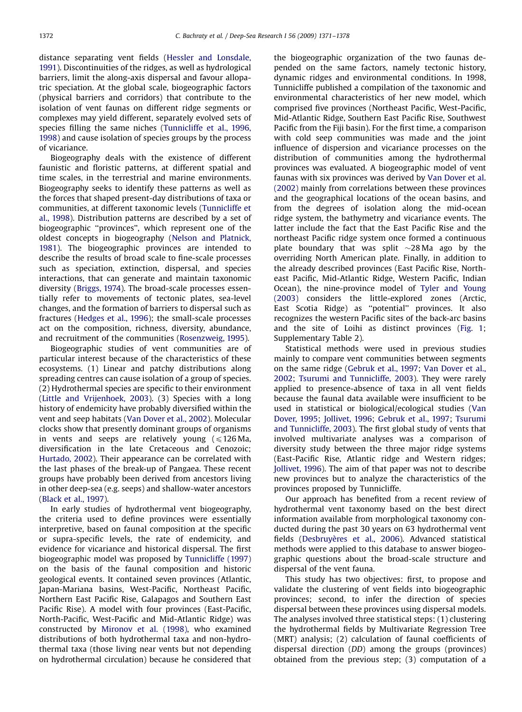distance separating vent fields ([Hessler and Lonsdale,](#page-7-0) [1991](#page-7-0)). Discontinuities of the ridges, as well as hydrological barriers, limit the along-axis dispersal and favour allopatric speciation. At the global scale, biogeographic factors (physical barriers and corridors) that contribute to the isolation of vent faunas on different ridge segments or complexes may yield different, separately evolved sets of species filling the same niches ([Tunnicliffe et al., 1996,](#page-7-0) [1998\)](#page-7-0) and cause isolation of species groups by the process of vicariance.

Biogeography deals with the existence of different faunistic and floristic patterns, at different spatial and time scales, in the terrestrial and marine environments. Biogeography seeks to identify these patterns as well as the forces that shaped present-day distributions of taxa or communities, at different taxonomic levels [\(Tunnicliffe et](#page-7-0) [al., 1998\)](#page-7-0). Distribution patterns are described by a set of biogeographic ''provinces'', which represent one of the oldest concepts in biogeography [\(Nelson and Platnick,](#page-7-0) [1981\)](#page-7-0). The biogeographic provinces are intended to describe the results of broad scale to fine-scale processes such as speciation, extinction, dispersal, and species interactions, that can generate and maintain taxonomic diversity [\(Briggs, 1974](#page-6-0)). The broad-scale processes essentially refer to movements of tectonic plates, sea-level changes, and the formation of barriers to dispersal such as fractures ([Hedges et al., 1996\)](#page-7-0); the small-scale processes act on the composition, richness, diversity, abundance, and recruitment of the communities [\(Rosenzweig, 1995](#page-7-0)).

Biogeographic studies of vent communities are of particular interest because of the characteristics of these ecosystems. (1) Linear and patchy distributions along spreading centres can cause isolation of a group of species. (2) Hydrothermal species are specific to their environment ([Little and Vrijenhoek, 2003](#page-7-0)). (3) Species with a long history of endemicity have probably diversified within the vent and seep habitats [\(Van Dover et al., 2002](#page-7-0)). Molecular clocks show that presently dominant groups of organisms in vents and seeps are relatively young  $\leq 126$  Ma, diversification in the late Cretaceous and Cenozoic; [Hurtado, 2002\)](#page-7-0). Their appearance can be correlated with the last phases of the break-up of Pangaea. These recent groups have probably been derived from ancestors living in other deep-sea (e.g. seeps) and shallow-water ancestors ([Black et al., 1997\)](#page-6-0).

In early studies of hydrothermal vent biogeography, the criteria used to define provinces were essentially interpretive, based on faunal composition at the specific or supra-specific levels, the rate of endemicity, and evidence for vicariance and historical dispersal. The first biogeographic model was proposed by [Tunnicliffe \(1997\)](#page-7-0) on the basis of the faunal composition and historic geological events. It contained seven provinces (Atlantic, Japan-Mariana basins, West-Pacific, Northeast Pacific, Northern East Pacific Rise, Galapagos and Southern East Pacific Rise). A model with four provinces (East-Pacific, North-Pacific, West-Pacific and Mid-Atlantic Ridge) was constructed by [Mironov et al. \(1998\)](#page-7-0), who examined distributions of both hydrothermal taxa and non-hydrothermal taxa (those living near vents but not depending on hydrothermal circulation) because he considered that

the biogeographic organization of the two faunas depended on the same factors, namely tectonic history, dynamic ridges and environmental conditions. In 1998, Tunnicliffe published a compilation of the taxonomic and environmental characteristics of her new model, which comprised five provinces (Northeast Pacific, West-Pacific, Mid-Atlantic Ridge, Southern East Pacific Rise, Southwest Pacific from the Fiji basin). For the first time, a comparison with cold seep communities was made and the joint influence of dispersion and vicariance processes on the distribution of communities among the hydrothermal provinces was evaluated. A biogeographic model of vent faunas with six provinces was derived by [Van Dover et al.](#page-7-0) [\(2002\)](#page-7-0) mainly from correlations between these provinces and the geographical locations of the ocean basins, and from the degrees of isolation along the mid-ocean ridge system, the bathymetry and vicariance events. The latter include the fact that the East Pacific Rise and the northeast Pacific ridge system once formed a continuous plate boundary that was split  $\sim$ 28Ma ago by the overriding North American plate. Finally, in addition to the already described provinces (East Pacific Rise, Northeast Pacific, Mid-Atlantic Ridge, Western Pacific, Indian Ocean), the nine-province model of [Tyler and Young](#page-7-0) [\(2003\)](#page-7-0) considers the little-explored zones (Arctic, East Scotia Ridge) as ''potential'' provinces. It also recognizes the western Pacific sites of the back-arc basins and the site of Loihi as distinct provinces [\(Fig. 1](#page-3-0); Supplementary Table 2).

Statistical methods were used in previous studies mainly to compare vent communities between segments on the same ridge [\(Gebruk et al., 1997](#page-6-0); [Van Dover et al.,](#page-7-0) [2002](#page-7-0); [Tsurumi and Tunnicliffe, 2003](#page-7-0)). They were rarely applied to presence-absence of taxa in all vent fields because the faunal data available were insufficient to be used in statistical or biological/ecological studies [\(Van](#page-7-0) [Dover, 1995;](#page-7-0) [Jollivet, 1996](#page-7-0); [Gebruk et al., 1997](#page-6-0); [Tsurumi](#page-7-0) [and Tunnicliffe, 2003](#page-7-0)). The first global study of vents that involved multivariate analyses was a comparison of diversity study between the three major ridge systems (East-Pacific Rise, Atlantic ridge and Western ridges; [Jollivet, 1996](#page-7-0)). The aim of that paper was not to describe new provinces but to analyze the characteristics of the provinces proposed by Tunnicliffe.

Our approach has benefited from a recent review of hydrothermal vent taxonomy based on the best direct information available from morphological taxonomy conducted during the past 30 years on 63 hydrothermal vent fields (Desbruyè[res et al., 2006\)](#page-6-0). Advanced statistical methods were applied to this database to answer biogeographic questions about the broad-scale structure and dispersal of the vent fauna.

This study has two objectives: first, to propose and validate the clustering of vent fields into biogeographic provinces; second, to infer the direction of species dispersal between these provinces using dispersal models. The analyses involved three statistical steps: (1) clustering the hydrothermal fields by Multivariate Regression Tree (MRT) analysis; (2) calculation of faunal coefficients of dispersal direction (DD) among the groups (provinces) obtained from the previous step; (3) computation of a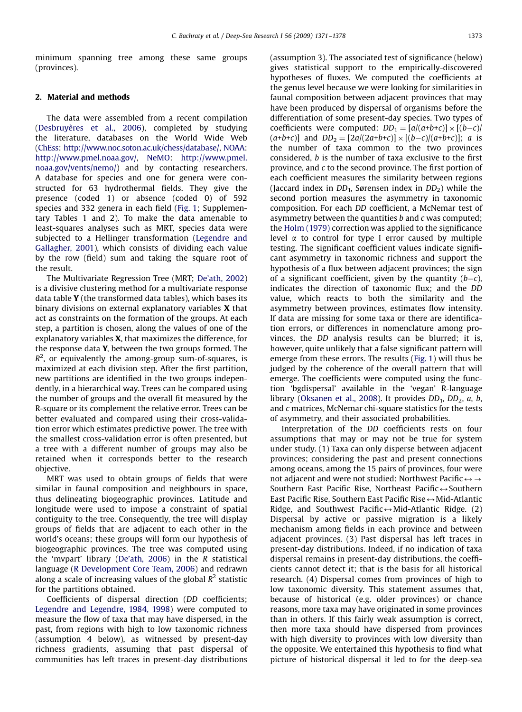minimum spanning tree among these same groups (provinces).

### 2. Material and methods

The data were assembled from a recent compilation (Desbruyè[res et al., 2006\)](#page-6-0), completed by studying the literature, databases on the World Wide Web ([ChEss](#page-6-0): [http://www.noc.soton.ac.uk/chess/database/,](http://www.noc.soton.ac.uk/chess/database/) [NOAA](#page-7-0): [http://www.pmel.noaa.gov/,](http://www.pmel.noaa.gov/) [NeMO](#page-7-0): [http://www.pmel.](http://www.pmel.noaa.gov/vents/nemo/) [noaa.gov/vents/nemo/](http://www.pmel.noaa.gov/vents/nemo/)) and by contacting researchers. A database for species and one for genera were constructed for 63 hydrothermal fields. They give the presence (coded 1) or absence (coded 0) of 592 species and 332 genera in each field [\(Fig. 1;](#page-3-0) Supplementary Tables 1 and 2). To make the data amenable to least-squares analyses such as MRT, species data were subjected to a Hellinger transformation [\(Legendre and](#page-7-0) [Gallagher, 2001](#page-7-0)), which consists of dividing each value by the row (field) sum and taking the square root of the result.

The Multivariate Regression Tree (MRT; [De'ath, 2002](#page-6-0)) is a divisive clustering method for a multivariate response data table Y (the transformed data tables), which bases its binary divisions on external explanatory variables X that act as constraints on the formation of the groups. At each step, a partition is chosen, along the values of one of the explanatory variables X, that maximizes the difference, for the response data Y, between the two groups formed. The  $R^2$ , or equivalently the among-group sum-of-squares, is maximized at each division step. After the first partition, new partitions are identified in the two groups independently, in a hierarchical way. Trees can be compared using the number of groups and the overall fit measured by the R-square or its complement the relative error. Trees can be better evaluated and compared using their cross-validation error which estimates predictive power. The tree with the smallest cross-validation error is often presented, but a tree with a different number of groups may also be retained when it corresponds better to the research objective.

MRT was used to obtain groups of fields that were similar in faunal composition and neighbours in space, thus delineating biogeographic provinces. Latitude and longitude were used to impose a constraint of spatial contiguity to the tree. Consequently, the tree will display groups of fields that are adjacent to each other in the world's oceans; these groups will form our hypothesis of biogeographic provinces. The tree was computed using the 'mvpart' library ([De'ath, 2006](#page-6-0)) in the R statistical language [\(R Development Core Team, 2006](#page-7-0)) and redrawn along a scale of increasing values of the global  $R^2$  statistic for the partitions obtained.

Coefficients of dispersal direction (DD coefficients; [Legendre and Legendre, 1984, 1998](#page-7-0)) were computed to measure the flow of taxa that may have dispersed, in the past, from regions with high to low taxonomic richness (assumption 4 below), as witnessed by present-day richness gradients, assuming that past dispersal of communities has left traces in present-day distributions (assumption 3). The associated test of significance (below) gives statistical support to the empirically-discovered hypotheses of fluxes. We computed the coefficients at the genus level because we were looking for similarities in faunal composition between adjacent provinces that may have been produced by dispersal of organisms before the differentiation of some present-day species. Two types of coefficients were computed:  $DD_1 = [a/(a+b+c)] \times [(b-c)]$  $(a+b+c)$ ] and  $DD_2 = [2a/(2a+b+c)] \times [(b-c)/(a+b+c)]$ ; *a* is the number of taxa common to the two provinces considered, b is the number of taxa exclusive to the first province, and c to the second province. The first portion of each coefficient measures the similarity between regions (Jaccard index in  $DD_1$ , Sørensen index in  $DD_2$ ) while the second portion measures the asymmetry in taxonomic composition. For each DD coefficient, a McNemar test of asymmetry between the quantities b and c was computed; the [Holm \(1979\)](#page-7-0) correction was applied to the significance level  $\alpha$  to control for type I error caused by multiple testing. The significant coefficient values indicate significant asymmetry in taxonomic richness and support the hypothesis of a flux between adjacent provinces; the sign of a significant coefficient, given by the quantity  $(b-c)$ , indicates the direction of taxonomic flux; and the DD value, which reacts to both the similarity and the asymmetry between provinces, estimates flow intensity. If data are missing for some taxa or there are identification errors, or differences in nomenclature among provinces, the DD analysis results can be blurred; it is, however, quite unlikely that a false significant pattern will emerge from these errors. The results ([Fig. 1\)](#page-3-0) will thus be judged by the coherence of the overall pattern that will emerge. The coefficients were computed using the function 'bgdispersal' available in the 'vegan' R-language library ([Oksanen et al., 2008\)](#page-7-0). It provides  $DD_1$ ,  $DD_2$ , a, b, and c matrices, McNemar chi-square statistics for the tests of asymmetry, and their associated probabilities.

Interpretation of the DD coefficients rests on four assumptions that may or may not be true for system under study. (1) Taxa can only disperse between adjacent provinces; considering the past and present connections among oceans, among the 15 pairs of provinces, four were not adjacent and were not studied: Northwest Pacific  $\leftrightarrow \rightarrow$ Southern East Pacific Rise, Northeast Pacific $\leftrightarrow$ Southern East Pacific Rise, Southern East Pacific Rise $\leftrightarrow$ Mid-Atlantic Ridge, and Southwest Pacific $\leftrightarrow$ Mid-Atlantic Ridge. (2) Dispersal by active or passive migration is a likely mechanism among fields in each province and between adjacent provinces. (3) Past dispersal has left traces in present-day distributions. Indeed, if no indication of taxa dispersal remains in present-day distributions, the coefficients cannot detect it; that is the basis for all historical research. (4) Dispersal comes from provinces of high to low taxonomic diversity. This statement assumes that, because of historical (e.g. older provinces) or chance reasons, more taxa may have originated in some provinces than in others. If this fairly weak assumption is correct, then more taxa should have dispersed from provinces with high diversity to provinces with low diversity than the opposite. We entertained this hypothesis to find what picture of historical dispersal it led to for the deep-sea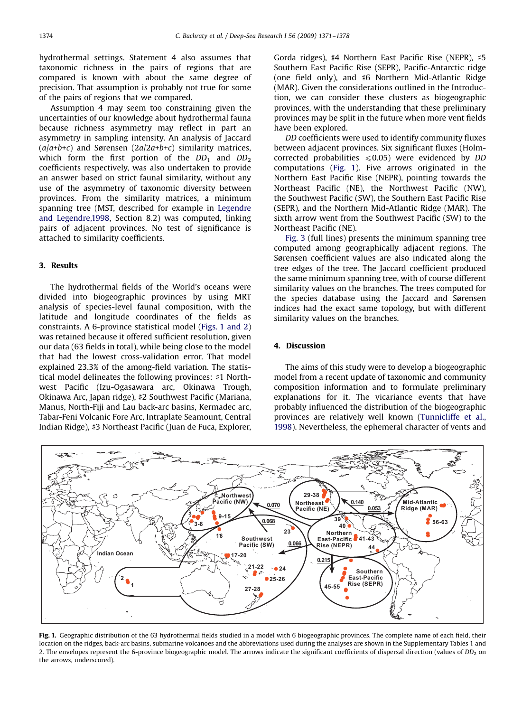<span id="page-3-0"></span>hydrothermal settings. Statement 4 also assumes that taxonomic richness in the pairs of regions that are compared is known with about the same degree of precision. That assumption is probably not true for some of the pairs of regions that we compared.

Assumption 4 may seem too constraining given the uncertainties of our knowledge about hydrothermal fauna because richness asymmetry may reflect in part an asymmetry in sampling intensity. An analysis of Jaccard  $(a/a+b+c)$  and Sørensen (2a/2a+b+c) similarity matrices, which form the first portion of the  $DD_1$  and  $DD_2$ coefficients respectively, was also undertaken to provide an answer based on strict faunal similarity, without any use of the asymmetry of taxonomic diversity between provinces. From the similarity matrices, a minimum spanning tree (MST, described for example in [Legendre](#page-7-0) [and Legendre,1998](#page-7-0), Section 8.2) was computed, linking pairs of adjacent provinces. No test of significance is attached to similarity coefficients.

### 3. Results

The hydrothermal fields of the World's oceans were divided into biogeographic provinces by using MRT analysis of species-level faunal composition, with the latitude and longitude coordinates of the fields as constraints. A 6-province statistical model (Figs. 1 and 2) was retained because it offered sufficient resolution, given our data (63 fields in total), while being close to the model that had the lowest cross-validation error. That model explained 23.3% of the among-field variation. The statistical model delineates the following provinces: #1 Northwest Pacific (Izu-Ogasawara arc, Okinawa Trough, Okinawa Arc, Japan ridge), #2 Southwest Pacific (Mariana, Manus, North-Fiji and Lau back-arc basins, Kermadec arc, Tabar-Feni Volcanic Fore Arc, Intraplate Seamount, Central Indian Ridge), #3 Northeast Pacific (Juan de Fuca, Explorer,

Gorda ridges), #4 Northern East Pacific Rise (NEPR), #5 Southern East Pacific Rise (SEPR), Pacific-Antarctic ridge (one field only), and #6 Northern Mid-Atlantic Ridge (MAR). Given the considerations outlined in the Introduction, we can consider these clusters as biogeographic provinces, with the understanding that these preliminary provinces may be split in the future when more vent fields have been explored.

DD coefficients were used to identify community fluxes between adjacent provinces. Six significant fluxes (Holmcorrected probabilities  $\leq 0.05$ ) were evidenced by DD computations (Fig. 1). Five arrows originated in the Northern East Pacific Rise (NEPR), pointing towards the Northeast Pacific (NE), the Northwest Pacific (NW), the Southwest Pacific (SW), the Southern East Pacific Rise (SEPR), and the Northern Mid-Atlantic Ridge (MAR). The sixth arrow went from the Southwest Pacific (SW) to the Northeast Pacific (NE).

[Fig. 3](#page-4-0) (full lines) presents the minimum spanning tree computed among geographically adjacent regions. The Sørensen coefficient values are also indicated along the tree edges of the tree. The Jaccard coefficient produced the same minimum spanning tree, with of course different similarity values on the branches. The trees computed for the species database using the Jaccard and Sørensen indices had the exact same topology, but with different similarity values on the branches.

#### 4. Discussion

The aims of this study were to develop a biogeographic model from a recent update of taxonomic and community composition information and to formulate preliminary explanations for it. The vicariance events that have probably influenced the distribution of the biogeographic provinces are relatively well known ([Tunnicliffe et al.,](#page-7-0) [1998\)](#page-7-0). Nevertheless, the ephemeral character of vents and



Fig. 1. Geographic distribution of the 63 hydrothermal fields studied in a model with 6 biogeographic provinces. The complete name of each field, their location on the ridges, back-arc basins, submarine volcanoes and the abbreviations used during the analyses are shown in the Supplementary Tables 1 and 2. The envelopes represent the 6-province biogeographic model. The arrows indicate the significant coefficients of dispersal direction (values of  $DD_2$  on the arrows, underscored).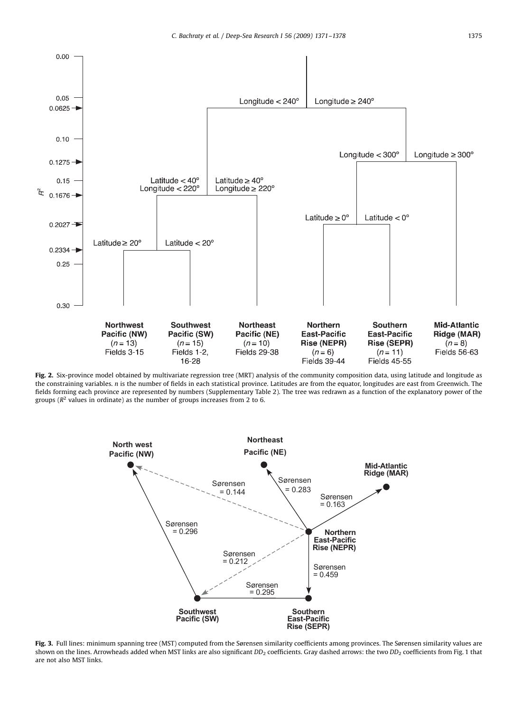<span id="page-4-0"></span>

Fig. 2. Six-province model obtained by multivariate regression tree (MRT) analysis of the community composition data, using latitude and longitude as the constraining variables. n is the number of fields in each statistical province. Latitudes are from the equator, longitudes are east from Greenwich. The fields forming each province are represented by numbers (Supplementary Table 2). The tree was redrawn as a function of the explanatory power of the groups ( $R^2$  values in ordinate) as the number of groups increases from 2 to 6.



Fig. 3. Full lines: minimum spanning tree (MST) computed from the Sørensen similarity coefficients among provinces. The Sørensen similarity values are shown on the lines. Arrowheads added when MST links are also significant  $DD_2$  coefficients. Gray dashed arrows: the two  $DD_2$  coefficients from [Fig. 1](#page-3-0) that are not also MST links.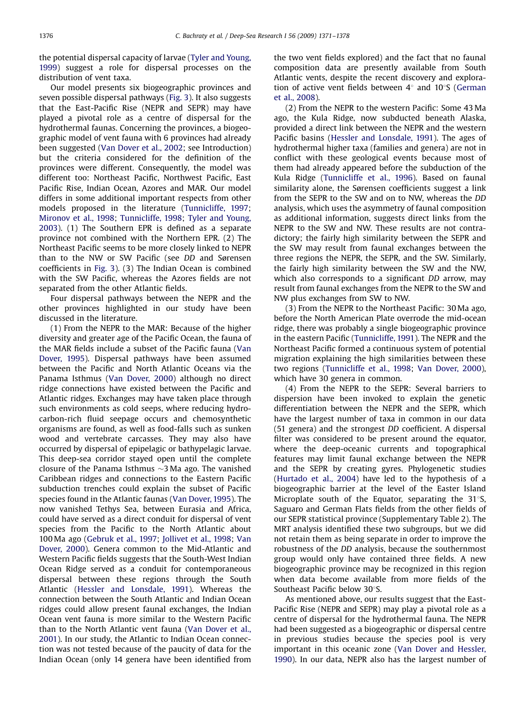the potential dispersal capacity of larvae ([Tyler and Young,](#page-7-0) [1999\)](#page-7-0) suggest a role for dispersal processes on the distribution of vent taxa.

Our model presents six biogeographic provinces and seven possible dispersal pathways ([Fig. 3\)](#page-4-0). It also suggests that the East-Pacific Rise (NEPR and SEPR) may have played a pivotal role as a centre of dispersal for the hydrothermal faunas. Concerning the provinces, a biogeographic model of vent fauna with 6 provinces had already been suggested [\(Van Dover et al., 2002;](#page-7-0) see Introduction) but the criteria considered for the definition of the provinces were different. Consequently, the model was different too: Northeast Pacific, Northwest Pacific, East Pacific Rise, Indian Ocean, Azores and MAR. Our model differs in some additional important respects from other models proposed in the literature [\(Tunnicliffe, 1997](#page-7-0); [Mironov et al., 1998](#page-7-0); [Tunnicliffe, 1998;](#page-7-0) [Tyler and Young,](#page-7-0) [2003](#page-7-0)). (1) The Southern EPR is defined as a separate province not combined with the Northern EPR. (2) The Northeast Pacific seems to be more closely linked to NEPR than to the NW or SW Pacific (see DD and Sørensen coefficients in [Fig. 3\)](#page-4-0). (3) The Indian Ocean is combined with the SW Pacific, whereas the Azores fields are not separated from the other Atlantic fields.

Four dispersal pathways between the NEPR and the other provinces highlighted in our study have been discussed in the literature.

(1) From the NEPR to the MAR: Because of the higher diversity and greater age of the Pacific Ocean, the fauna of the MAR fields include a subset of the Pacific fauna [\(Van](#page-7-0) [Dover, 1995](#page-7-0)). Dispersal pathways have been assumed between the Pacific and North Atlantic Oceans via the Panama Isthmus [\(Van Dover, 2000](#page-7-0)) although no direct ridge connections have existed between the Pacific and Atlantic ridges. Exchanges may have taken place through such environments as cold seeps, where reducing hydrocarbon-rich fluid seepage occurs and chemosynthetic organisms are found, as well as food-falls such as sunken wood and vertebrate carcasses. They may also have occurred by dispersal of epipelagic or bathypelagic larvae. This deep-sea corridor stayed open until the complete closure of the Panama Isthmus  $\sim$ 3 Ma ago. The vanished Caribbean ridges and connections to the Eastern Pacific subduction trenches could explain the subset of Pacific species found in the Atlantic faunas [\(Van Dover, 1995](#page-7-0)). The now vanished Tethys Sea, between Eurasia and Africa, could have served as a direct conduit for dispersal of vent species from the Pacific to the North Atlantic about 100 Ma ago ([Gebruk et al., 1997;](#page-6-0) [Jollivet et al., 1998](#page-7-0); [Van](#page-7-0) [Dover, 2000\)](#page-7-0). Genera common to the Mid-Atlantic and Western Pacific fields suggests that the South-West Indian Ocean Ridge served as a conduit for contemporaneous dispersal between these regions through the South Atlantic ([Hessler and Lonsdale, 1991](#page-7-0)). Whereas the connection between the South Atlantic and Indian Ocean ridges could allow present faunal exchanges, the Indian Ocean vent fauna is more similar to the Western Pacific than to the North Atlantic vent fauna [\(Van Dover et al.,](#page-7-0) [2001\)](#page-7-0). In our study, the Atlantic to Indian Ocean connection was not tested because of the paucity of data for the Indian Ocean (only 14 genera have been identified from

the two vent fields explored) and the fact that no faunal composition data are presently available from South Atlantic vents, despite the recent discovery and exploration of active vent fields between  $4^\circ$  and  $10^\circ$ S ([German](#page-6-0) et [al., 2008\)](#page-6-0).

(2) From the NEPR to the western Pacific: Some 43 Ma ago, the Kula Ridge, now subducted beneath Alaska, provided a direct link between the NEPR and the western Pacific basins [\(Hessler and Lonsdale, 1991](#page-7-0)). The ages of hydrothermal higher taxa (families and genera) are not in conflict with these geological events because most of them had already appeared before the subduction of the Kula Ridge ([Tunnicliffe et al., 1996\)](#page-7-0). Based on faunal similarity alone, the Sørensen coefficients suggest a link from the SEPR to the SW and on to NW, whereas the DD analysis, which uses the asymmetry of faunal composition as additional information, suggests direct links from the NEPR to the SW and NW. These results are not contradictory; the fairly high similarity between the SEPR and the SW may result from faunal exchanges between the three regions the NEPR, the SEPR, and the SW. Similarly, the fairly high similarity between the SW and the NW, which also corresponds to a significant DD arrow, may result from faunal exchanges from the NEPR to the SW and NW plus exchanges from SW to NW.

(3) From the NEPR to the Northeast Pacific: 30 Ma ago, before the North American Plate overrode the mid-ocean ridge, there was probably a single biogeographic province in the eastern Pacific ([Tunnicliffe, 1991\)](#page-7-0). The NEPR and the Northeast Pacific formed a continuous system of potential migration explaining the high similarities between these two regions ([Tunnicliffe et al., 1998;](#page-7-0) [Van Dover, 2000](#page-7-0)), which have 30 genera in common.

(4) From the NEPR to the SEPR: Several barriers to dispersion have been invoked to explain the genetic differentiation between the NEPR and the SEPR, which have the largest number of taxa in common in our data (51 genera) and the strongest DD coefficient. A dispersal filter was considered to be present around the equator, where the deep-oceanic currents and topographical features may limit faunal exchange between the NEPR and the SEPR by creating gyres. Phylogenetic studies [\(Hurtado et al., 2004](#page-7-0)) have led to the hypothesis of a biogeographic barrier at the level of the Easter Island Microplate south of the Equator, separating the  $31^{\circ}$ S, Saguaro and German Flats fields from the other fields of our SEPR statistical province (Supplementary Table 2). The MRT analysis identified these two subgroups, but we did not retain them as being separate in order to improve the robustness of the DD analysis, because the southernmost group would only have contained three fields. A new biogeographic province may be recognized in this region when data become available from more fields of the Southeast Pacific below 30°S.

As mentioned above, our results suggest that the East-Pacific Rise (NEPR and SEPR) may play a pivotal role as a centre of dispersal for the hydrothermal fauna. The NEPR had been suggested as a biogeographic or dispersal centre in previous studies because the species pool is very important in this oceanic zone ([Van Dover and Hessler,](#page-7-0) [1990\)](#page-7-0). In our data, NEPR also has the largest number of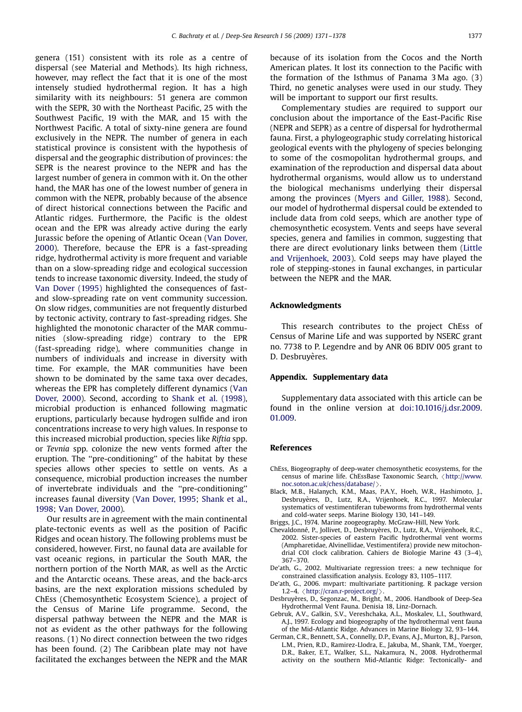<span id="page-6-0"></span>genera (151) consistent with its role as a centre of dispersal (see Material and Methods). Its high richness, however, may reflect the fact that it is one of the most intensely studied hydrothermal region. It has a high similarity with its neighbours: 51 genera are common with the SEPR, 30 with the Northeast Pacific, 25 with the Southwest Pacific, 19 with the MAR, and 15 with the Northwest Pacific. A total of sixty-nine genera are found exclusively in the NEPR. The number of genera in each statistical province is consistent with the hypothesis of dispersal and the geographic distribution of provinces: the SEPR is the nearest province to the NEPR and has the largest number of genera in common with it. On the other hand, the MAR has one of the lowest number of genera in common with the NEPR, probably because of the absence of direct historical connections between the Pacific and Atlantic ridges. Furthermore, the Pacific is the oldest ocean and the EPR was already active during the early Jurassic before the opening of Atlantic Ocean [\(Van Dover,](#page-7-0) [2000](#page-7-0)). Therefore, because the EPR is a fast-spreading ridge, hydrothermal activity is more frequent and variable than on a slow-spreading ridge and ecological succession tends to increase taxonomic diversity. Indeed, the study of [Van Dover \(1995\)](#page-7-0) highlighted the consequences of fastand slow-spreading rate on vent community succession. On slow ridges, communities are not frequently disturbed by tectonic activity, contrary to fast-spreading ridges. She highlighted the monotonic character of the MAR communities (slow-spreading ridge) contrary to the EPR (fast-spreading ridge), where communities change in numbers of individuals and increase in diversity with time. For example, the MAR communities have been shown to be dominated by the same taxa over decades, whereas the EPR has completely different dynamics [\(Van](#page-7-0) [Dover, 2000\)](#page-7-0). Second, according to [Shank et al. \(1998\)](#page-7-0), microbial production is enhanced following magmatic eruptions, particularly because hydrogen sulfide and iron concentrations increase to very high values. In response to this increased microbial production, species like Riftia spp. or Tevnia spp. colonize the new vents formed after the eruption. The ''pre-conditioning'' of the habitat by these species allows other species to settle on vents. As a consequence, microbial production increases the number of invertebrate individuals and the ''pre-conditioning'' increases faunal diversity [\(Van Dover, 1995;](#page-7-0) [Shank et al.,](#page-7-0) [1998;](#page-7-0) [Van Dover, 2000](#page-7-0)).

Our results are in agreement with the main continental plate-tectonic events as well as the position of Pacific Ridges and ocean history. The following problems must be considered, however. First, no faunal data are available for vast oceanic regions, in particular the South MAR, the northern portion of the North MAR, as well as the Arctic and the Antarctic oceans. These areas, and the back-arcs basins, are the next exploration missions scheduled by ChEss (Chemosynthetic Ecosystem Science), a project of the Census of Marine Life programme. Second, the dispersal pathway between the NEPR and the MAR is not as evident as the other pathways for the following reasons. (1) No direct connection between the two ridges has been found. (2) The Caribbean plate may not have facilitated the exchanges between the NEPR and the MAR because of its isolation from the Cocos and the North American plates. It lost its connection to the Pacific with the formation of the Isthmus of Panama 3 Ma ago. (3) Third, no genetic analyses were used in our study. They will be important to support our first results.

Complementary studies are required to support our conclusion about the importance of the East-Pacific Rise (NEPR and SEPR) as a centre of dispersal for hydrothermal fauna. First, a phylogeographic study correlating historical geological events with the phylogeny of species belonging to some of the cosmopolitan hydrothermal groups, and examination of the reproduction and dispersal data about hydrothermal organisms, would allow us to understand the biological mechanisms underlying their dispersal among the provinces [\(Myers and Giller, 1988\)](#page-7-0). Second, our model of hydrothermal dispersal could be extended to include data from cold seeps, which are another type of chemosynthetic ecosystem. Vents and seeps have several species, genera and families in common, suggesting that there are direct evolutionary links between them [\(Little](#page-7-0) [and Vrijenhoek, 2003](#page-7-0)). Cold seeps may have played the role of stepping-stones in faunal exchanges, in particular between the NEPR and the MAR.

#### Acknowledgments

This research contributes to the project ChEss of Census of Marine Life and was supported by NSERC grant no. 7738 to P. Legendre and by ANR 06 BDIV 005 grant to D. Desbruyères.

### Appendix. Supplementary data

Supplementary data associated with this article can be found in the online version at [doi:10.1016/j.dsr.2009.](dx.doi.org/10.1016/j.dsr.2009.01.009) [01.009](dx.doi.org/10.1016/j.dsr.2009.01.009).

#### References

- ChEss, Biogeography of deep-water chemosynthetic ecosystems, for the census of marine life. ChEssBase Taxonomic Search,  $\langle$ [http://www.](http://www.noc.soton.ac.uk/chess/database/)noc.soton.ac.uk/chess/database/ $\rangle$ .
- [noc.soton.ac.uk/chess/database/](http://www.noc.soton.ac.uk/chess/database/) >.<br>Black, M.B., Halanych, K.M., Maas, P.A.Y., Hoeh, W.R., Hashimoto, J.,<br>Desbruyères, D., Lutz, R.A., Vrijenhoek, R.C., 1997. Molecular systematics of vestimentiferan tubeworms from hydrothermal vents and cold-water seeps. Marine Biology 130, 141–149.
- Briggs, J.C., 1974. Marine zoogeography. McGraw-Hill, New York.
- Chevaldonné, P., Jollivet, D., Desbruyères, D., Lutz, R.A., Vrijenhoek, R.C., 2002. Sister-species of eastern Pacific hydrothermal vent worms (Ampharetidae, Alvinellidae, Vestimentifera) provide new mitochondrial COI clock calibration. Cahiers de Biologie Marine 43 (3–4), 367–370.
- De'ath, G., 2002. Multivariate regression trees: a new technique for constrained classification analysis. Ecology 83, 1105–1117.
- De'ath, G., 2006. mvpart: multivariate partitioning. R package version 1.2–4.  $\langle$  <http://cran.r-project.org/> $\rangle$ .
- Desbruyères, D., Segonzac, M., Bright, M., 2006. Handbook of Deep-Sea Hydrothermal Vent Fauna. Denisia 18, Linz-Dornach.
- Gebruk, A.V., Galkin, S.V., Vereshchaka, A.L., Moskalev, L.I., Southward, A.J., 1997. Ecology and biogeography of the hydrothermal vent fauna of the Mid-Atlantic Ridge. Advances in Marine Biology 32, 93–144.
- German, C.R., Bennett, S.A., Connelly, D.P., Evans, A.J., Murton, B.J., Parson, L.M., Prien, R.D., Ramirez-Llodra, E., Jakuba, M., Shank, T.M., Yoerger, D.R., Baker, E.T., Walker, S.L., Nakamura, N., 2008. Hydrothermal activity on the southern Mid-Atlantic Ridge: Tectonically- and